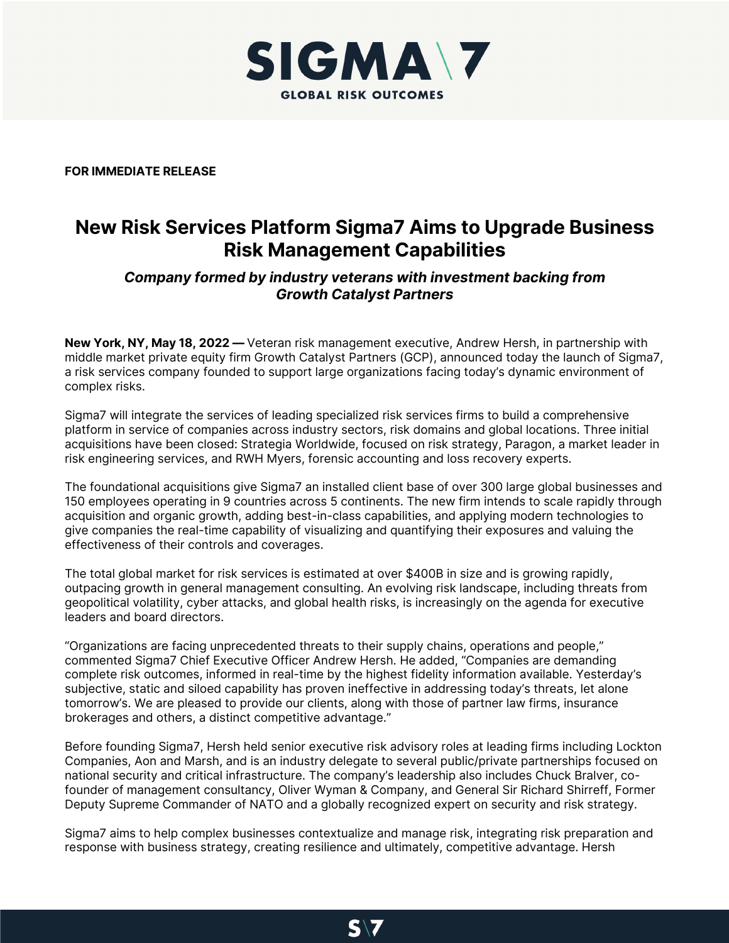

**FOR IMMEDIATE RELEASE**

## **New Risk Services Platform Sigma7 Aims to Upgrade Business Risk Management Capabilities**

## *Company formed by industry veterans with investment backing from Growth Catalyst Partners*

**New York, NY, May 18, 2022 —** Veteran risk management executive, Andrew Hersh, in partnership with middle market private equity firm Growth Catalyst Partners (GCP), announced today the launch of Sigma7, a risk services company founded to support large organizations facing today's dynamic environment of complex risks.

Sigma7 will integrate the services of leading specialized risk services firms to build a comprehensive platform in service of companies across industry sectors, risk domains and global locations. Three initial acquisitions have been closed: Strategia Worldwide, focused on risk strategy, Paragon, a market leader in risk engineering services, and RWH Myers, forensic accounting and loss recovery experts.

The foundational acquisitions give Sigma7 an installed client base of over 300 large global businesses and 150 employees operating in 9 countries across 5 continents. The new firm intends to scale rapidly through acquisition and organic growth, adding best-in-class capabilities, and applying modern technologies to give companies the real-time capability of visualizing and quantifying their exposures and valuing the effectiveness of their controls and coverages.

The total global market for risk services is estimated at over \$400B in size and is growing rapidly, outpacing growth in general management consulting. An evolving risk landscape, including threats from geopolitical volatility, cyber attacks, and global health risks, is increasingly on the agenda for executive leaders and board directors.

"Organizations are facing unprecedented threats to their supply chains, operations and people," commented Sigma7 Chief Executive Officer Andrew Hersh. He added, "Companies are demanding complete risk outcomes, informed in real-time by the highest fidelity information available. Yesterday's subjective, static and siloed capability has proven ineffective in addressing today's threats, let alone tomorrow's. We are pleased to provide our clients, along with those of partner law firms, insurance brokerages and others, a distinct competitive advantage."

Before founding Sigma7, Hersh held senior executive risk advisory roles at leading firms including Lockton Companies, Aon and Marsh, and is an industry delegate to several public/private partnerships focused on national security and critical infrastructure. The company's leadership also includes Chuck Bralver, cofounder of management consultancy, Oliver Wyman & Company, and General Sir Richard Shirreff, Former Deputy Supreme Commander of NATO and a globally recognized expert on security and risk strategy.

Sigma7 aims to help complex businesses contextualize and manage risk, integrating risk preparation and response with business strategy, creating resilience and ultimately, competitive advantage. Hersh